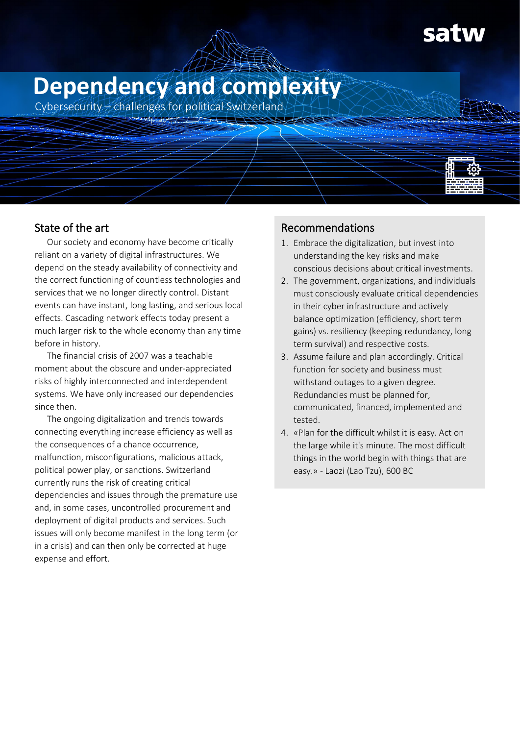# **Dependency and complexity**

Cybersecurity – challenges for political Switzerland



# State of the art

Our society and economy have become critically reliant on a variety of digital infrastructures. We depend on the steady availability of connectivity and the correct functioning of countless technologies and services that we no longer directly control. Distant events can have instant, long lasting, and serious local effects. Cascading network effects today present a much larger risk to the whole economy than any time before in history.

The financial crisis of 2007 was a teachable moment about the obscure and under-appreciated risks of highly interconnected and interdependent systems. We have only increased our dependencies since then.

The ongoing digitalization and trends towards connecting everything increase efficiency as well as the consequences of a chance occurrence, malfunction, misconfigurations, malicious attack, political power play, or sanctions. Switzerland currently runs the risk of creating critical dependencies and issues through the premature use and, in some cases, uncontrolled procurement and deployment of digital products and services. Such issues will only become manifest in the long term (or in a crisis) and can then only be corrected at huge expense and effort.

# Recommendations

- 1. Embrace the digitalization, but invest into understanding the key risks and make conscious decisions about critical investments.
- 2. The government, organizations, and individuals must consciously evaluate critical dependencies in their cyber infrastructure and actively balance optimization (efficiency, short term gains) vs. resiliency (keeping redundancy, long term survival) and respective costs.
- 3. Assume failure and plan accordingly. Critical function for society and business must withstand outages to a given degree. Redundancies must be planned for, communicated, financed, implemented and tested.
- 4. «Plan for the difficult whilst it is easy. Act on the large while it's minute. The most difficult things in the world begin with things that are easy.» - Laozi (Lao Tzu), 600 BC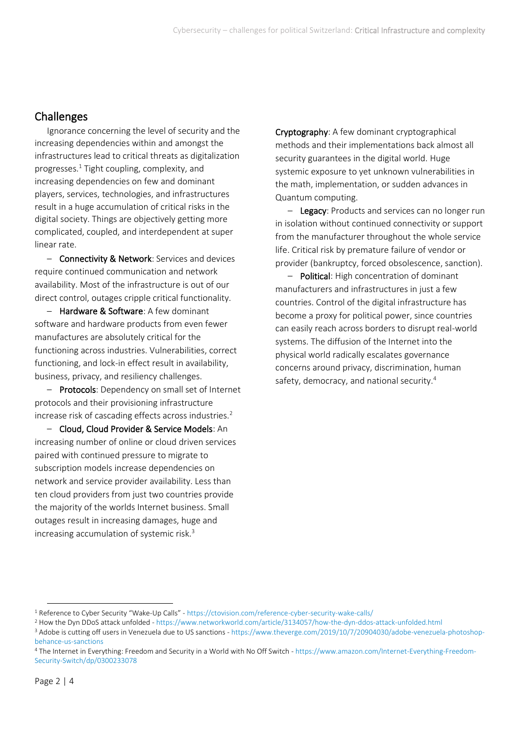## Challenges

Ignorance concerning the level of security and the increasing dependencies within and amongst the infrastructures lead to critical threats as digitalization progresses.<sup>1</sup> Tight coupling, complexity, and increasing dependencies on few and dominant players, services, technologies, and infrastructures result in a huge accumulation of critical risks in the digital society. Things are objectively getting more complicated, coupled, and interdependent at super linear rate.

– Connectivity & Network: Services and devices require continued communication and network availability. Most of the infrastructure is out of our direct control, outages cripple critical functionality.

– Hardware & Software: A few dominant software and hardware products from even fewer manufactures are absolutely critical for the functioning across industries. Vulnerabilities, correct functioning, and lock-in effect result in availability, business, privacy, and resiliency challenges.

– Protocols: Dependency on small set of Internet protocols and their provisioning infrastructure increase risk of cascading effects across industries. $2$ 

– Cloud, Cloud Provider & Service Models: An increasing number of online or cloud driven services paired with continued pressure to migrate to subscription models increase dependencies on network and service provider availability. Less than ten cloud providers from just two countries provide the majority of the worlds Internet business. Small outages result in increasing damages, huge and increasing accumulation of systemic risk.<sup>3</sup>

Cryptography: A few dominant cryptographical methods and their implementations back almost all security guarantees in the digital world. Huge systemic exposure to yet unknown vulnerabilities in the math, implementation, or sudden advances in Quantum computing.

- Legacy: Products and services can no longer run in isolation without continued connectivity or support from the manufacturer throughout the whole service life. Critical risk by premature failure of vendor or provider (bankruptcy, forced obsolescence, sanction).

– Political: High concentration of dominant manufacturers and infrastructures in just a few countries. Control of the digital infrastructure has become a proxy for political power, since countries can easily reach across borders to disrupt real-world systems. The diffusion of the Internet into the physical world radically escalates governance concerns around privacy, discrimination, human safety, democracy, and national security.<sup>4</sup>

<sup>1</sup> Reference to Cyber Security "Wake-Up Calls" - <https://ctovision.com/reference-cyber-security-wake-calls/>

<sup>2</sup> How the Dyn DDoS attack unfolded - <https://www.networkworld.com/article/3134057/how-the-dyn-ddos-attack-unfolded.html>

<sup>&</sup>lt;sup>3</sup> Adobe is cutting off users in Venezuela due to US sanctions - [https://www.theverge.com/2019/10/7/20904030/adobe-venezuela-photoshop](https://www.theverge.com/2019/10/7/20904030/adobe-venezuela-photoshop-behance-us-sanctions)[behance-us-sanctions](https://www.theverge.com/2019/10/7/20904030/adobe-venezuela-photoshop-behance-us-sanctions)

<sup>4</sup> The Internet in Everything: Freedom and Security in a World with No Off Switch - [https://www.amazon.com/Internet-Everything-Freedom-](https://www.amazon.com/Internet-Everything-Freedom-Security-Switch/dp/0300233078)[Security-Switch/dp/0300233078](https://www.amazon.com/Internet-Everything-Freedom-Security-Switch/dp/0300233078)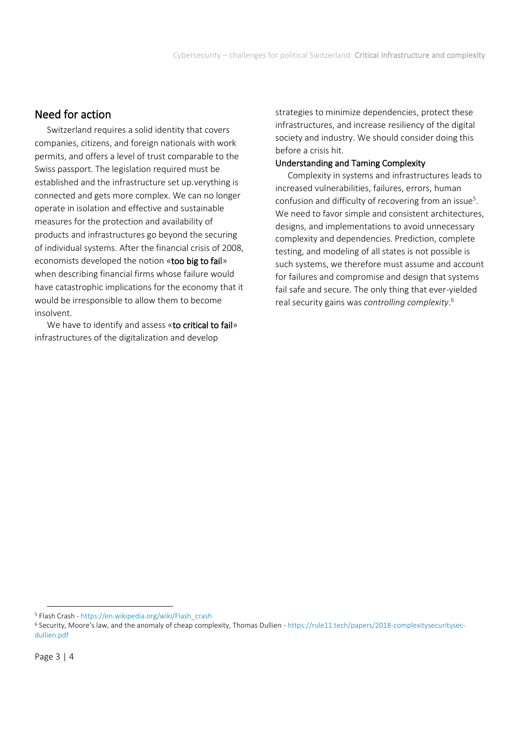## Need for action

Switzerland requires a solid identity that covers companies, citizens, and foreign nationals with work permits, and offers a level of trust comparable to the Swiss passport. The legislation required must be established and the infrastructure set up.verything is connected and gets more complex. We can no longer operate in isolation and effective and sustainable measures for the protection and availability of products and infrastructures go beyond the securing of individual systems. After the financial crisis of 2008, economists developed the notion «too big to fail» when describing financial firms whose failure would have catastrophic implications for the economy that it would be irresponsible to allow them to become insolvent.

We have to identify and assess «to critical to fail» infrastructures of the digitalization and develop

strategies to minimize dependencies, protect these infrastructures, and increase resiliency of the digital society and industry. We should consider doing this before a crisis hit.

## Understanding and Taming Complexity

Complexity in systems and infrastructures leads to increased vulnerabilities, failures, errors, human confusion and difficulty of recovering from an issue<sup>5</sup>. We need to favor simple and consistent architectures, designs, and implementations to avoid unnecessary complexity and dependencies. Prediction, complete testing, and modeling of all states is not possible is such systems, we therefore must assume and account for failures and compromise and design that systems fail safe and secure. The only thing that ever-yielded real security gains was *controlling complexity*. 6

<sup>5</sup> Flash Crash - [https://en.wikipedia.org/wiki/Flash\\_crash](https://en.wikipedia.org/wiki/Flash_crash)

<sup>6</sup> Security, Moore's law, and the anomaly of cheap complexity, Thomas Dullien - [https://rule11.tech/papers/2018-complexitysecuritysec](https://rule11.tech/papers/2018-complexitysecuritysec-dullien.pdf)[dullien.pdf](https://rule11.tech/papers/2018-complexitysecuritysec-dullien.pdf)